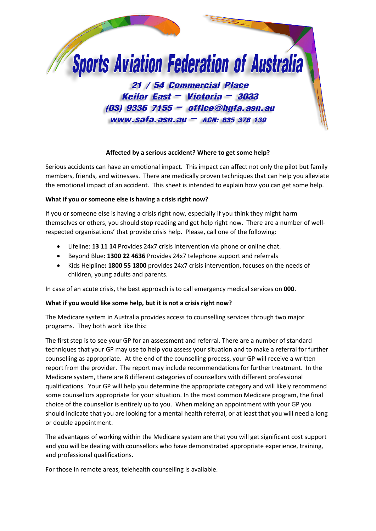

# **Affected by a serious accident? Where to get some help?**

Serious accidents can have an emotional impact. This impact can affect not only the pilot but family members, friends, and witnesses. There are medically proven techniques that can help you alleviate the emotional impact of an accident. This sheet is intended to explain how you can get some help.

# **What if you or someone else is having a crisis right now?**

If you or someone else is having a crisis right now, especially if you think they might harm themselves or others, you should stop reading and get help right now. There are a number of wellrespected organisations' that provide crisis help. Please, call one of the following:

- Lifeline: **13 11 14** Provides 24x7 crisis intervention via phone or online chat.
- Beyond Blue: **1300 22 4636** Provides 24x7 telephone support and referrals
- Kids Helpline**: 1800 55 1800** provides 24x7 crisis intervention, focuses on the needs of children, young adults and parents.

In case of an acute crisis, the best approach is to call emergency medical services on **000**.

## **What if you would like some help, but it is not a crisis right now?**

The Medicare system in Australia provides access to counselling services through two major programs. They both work like this:

The first step is to see your GP for an assessment and referral. There are a number of standard techniques that your GP may use to help you assess your situation and to make a referral for further counselling as appropriate. At the end of the counselling process, your GP will receive a written report from the provider. The report may include recommendations for further treatment. In the Medicare system, there are 8 different categories of counsellors with different professional qualifications. Your GP will help you determine the appropriate category and will likely recommend some counsellors appropriate for your situation. In the most common Medicare program, the final choice of the counsellor is entirely up to you. When making an appointment with your GP you should indicate that you are looking for a mental health referral, or at least that you will need a long or double appointment.

The advantages of working within the Medicare system are that you will get significant cost support and you will be dealing with counsellors who have demonstrated appropriate experience, training, and professional qualifications.

For those in remote areas, telehealth counselling is available.